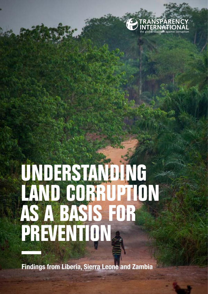

# **UNDERSTANDING LAND CORRUPTION AS A BASIS FOR PREVENTION**

**Findings from Liberia, Sierra Leone and Zambia**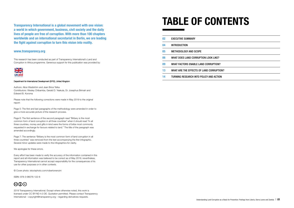**Transparency International is a global movement with one vision: a world in which government, business, civil society and the daily lives of people are free of corruption. With more than 100 chapters worldwide and an international secretariat in Berlin, we are leading the fight against corruption to turn this vision into reality.**

### **www.transparency.org**

This research has been conducted as part of Transparency International's Land and Corruption in Africa programme. Generous support for this publication was provided by:



### Department for International Development (DFID), United Kingdom

Authors: Alice Wadström and Jean Brice Tetka Contributors: Wesley Chibamba, Gerald D. Yeakula, Dr. Josephus Brimah and Edward B. Koroma

Please note that the following corrections were made in May 2019 to the original report:

Page 5: The first and last paragraphs of the methodology were amended in order to give a more accurate picture of the research process.

Page 6: The first sentence of the second paragraph read "Bribery is the most common form of land corruption in all three countries" when it should read "In all three countries, money and gifts in kind were the forms of bribe most commonly requested in exchange for favours related to land." The title of the paragraph was amended accordingly.

Page 7: The sentence "Bribery is the most common form of land corruption in all three countries" was removed from the text accompanying the first infographic. Several minor updates were made to the infographics for clarity.

We apologise for these errors.

Every effort has been made to verify the accuracy of the information contained in this report and all information was believed to be correct as of May 2019; nevertheless, Transparency International cannot accept responsibility for the consequences of its use for other purposes or in other contexts.

© Cover photo: istockphoto.com/robertonencini

ISBN: 978-3-96076-122-8



2019 Transparency International. Except where otherwise noted, this work is licensed under CC BY-ND 4.0 DE. Quotation permitted. Please contact Transparency International – copyright@transparency.org – regarding derivatives requests.

## **TABLE OF CONTENTS**

| 02 | <b>EXECUTIVE SUMMARY</b>                 |
|----|------------------------------------------|
| 04 | <b>INTRODUCTION</b>                      |
| 05 | <b>METHODOLOGY AND SCOPE</b>             |
| 06 | WHAT DOES LAND CORRUPTION LOOK LIKE?     |
| 09 | WHAT FACTORS ENABLE LAND CORRUPTION?     |
| 13 | WHAT ARE THE EFFECTS OF LAND CORRUPTION? |
| 14 | TURNING RESEARCH INTO POLICY AND ACTION  |

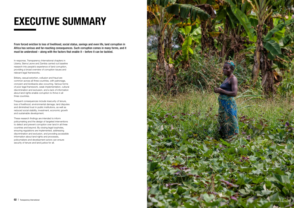From forced eviction to loss of livelihood, social status, savings and even life, land corruption in Africa has serious and far-reaching consequences. Such corruption comes in many forms, and it must be understood – along with the factors that enable it – before it can be tackled.

In response, Transparency International chapters in Liberia, Sierra Leone and Zambia carried out baseline research into people's experience of land corruption, providing a broad overview of corruption issues and relevant legal frameworks.

Bribery, sexual extortion, collusion and fraud are common across all three countries, with patronage, cronyism and kickbacks also occurring. Various forms of poor legal framework, weak implementation, cultural discrimination and exclusion, and a lack of information about land rights enable corruption to thrive in all three countries.

Frequent consequences include insecurity of tenure, loss of livelihood, environmental damage, land disputes and diminished trust in public institutions, as well as reduced social stability, investment, economic growth and sustainable development.

These research findings are intended to inform policymaking and the design of targeted interventions to detect and prevent corruption over land in all three countries and beyond. By closing legal loopholes, ensuring regulations are implemented, addressing discrimination and exclusion, and providing accessible information about land rights and processes, policymakers and development actors can ensure security of tenure and land justice for all.



istockphoto.com/SilvaPinto1985

## **EXECUTIVE SUMMARY**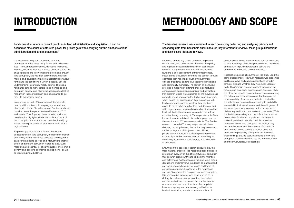The baseline research was carried out in each country by collecting and analysing primary and secondary data from household questionnaires, key informant interviews, focus group discussions and desk-based literature reviews.

It focused on two key pillars: policy and legislation on one hand, and behaviour on the other. The policy and legislation section relied mainly on desk-based research and provided a summary of land-related laws and a brief assessment of their effectiveness. Focus group discussions informed this section through examples from real life, as given by government officials, traditional leaders, civil society organisations and community members. The section on behaviour provided a mapping of different project constituents' concerns and perceptions regarding land corruption. Participants' replies were gathered by the surveyors via a mobile phone application for the household surveys, which posed key questions on their experience with land governance, such as whether they had been asked to pay a bribe, whether they had done so, and which agents were perceived as capable of taking their land. In Liberia, the research was carried out in four counties through a survey of 634 respondents. In Sierra Leone, it was undertaken in four cities spread across the country, with 507 survey respondents. The Zambia research covered 400 survey respondents in three districts, including Lusaka, the capital. Key informants for the surveys – such as government officials, private sector actors, civil society representatives and community members – were selected according to availability, accessibility, social status, and willingness to cooperate.

Drawing on this baseline research conducted by the three national chapters, this research paper intends to provide an overview of the different types of corruption that occur in each country and to identify similarities and differences. As the research included focus group discussions and interviews in addition to standardised surveys, it revealed a variety of issues and forms of corruption not explicitly explored in the household surveys. To address the complexity of land corruption, this comparative overview was structured so as to distinguish between corrupt practices themselves and the institutional or systemic factors that enable or exacerbate them – such as lack of appropriate laws, overlapping mandates among authorities in land administration, and decision-makers' lack of

- accountability. These factors enable corrupt individuals to take advantage of unclear processes and mandates, and act with impunity for personal gain, to the detriment of individuals and communities.
- Researchers across all countries of the study used the same questionnaire. However, research was presented in different ways and sample populations varied in terms of size and whether they were rural, urban or both. The Zambian baseline research presented the focus group discussion questions and answers, while the other two reports contained a section summarizing the outcome of these discussions. Furthermore, the representativity of survey respondents is limited by the selection of communities according to availability, accessibility, their social status; and the willingness of key actors such as governments, the private sector, civil society and local communities to cooperate. While the limitations resulting from the different approaches do not allow for direct comparisons, the research makes it possible to identify possible causes and consequences of land corruption. Its findings may not be exhaustive, and the absence of a particular phenomenon in one country's findings does not preclude the possibility of its presence. However, these findings provide useful examples of how land corruption manifests itself across the three countries, and the structural issues enabling it.

Land corruption refers to corrupt practices in land administration and acquisition. It can be defined as "the abuse of entrusted power for private gain while carrying out the functions of land administration and land management".

Corruption affecting both urban and rural land processes in Africa takes many forms, and it destroys lives – through forced evictions, damaged livelihoods, injustice, expense, distress and loss of social status. To enable policies and interventions to detect and prevent land corruption, it is vital that policymakers, decisionmakers and development actors understand its various forms and the conditions in which it occurs. But this understanding is currently widely lacking. There is a reluctance among many actors to acknowledge land corruption directly, and where it is addressed, a lack of recognition that corruption in land governance takes many forms besides bribery.

In response, as part of Transparency International's Land and Corruption in Africa programme, national chapters in Liberia, Sierra Leone and Zambia produced baseline research reports between December 2017 and March 2018. Together, these reports provide an overview that highlights similar and different forms of land corruption across the three countries, identifying issues that require particular attention at national and regional levels.

By providing a picture of the forms, context and consequences of land corruption, the research findings offer policymakers in all three countries and beyond a basis for developing policies and interventions that will detect and prevent corruption related to land. Such measures are essential for ensuring justice, overcoming poverty and boosting economic development – as well as improving individual lives.

# **INTRODUCTION METHODOLOGY AND SCOPE**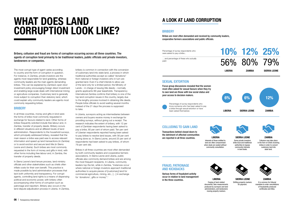Bribery, collusion and fraud are forms of corruption occurring across all three countries. The agents of corruption tend primarily to be traditional leaders, public officials and private investors, landowners or companies.

The most corrupt type of agent varies according to country and the form of corruption in question. For instance, in Zambia, private investors are the agents most responsible for land grabbing, whereas community leaders are the main agents demanding bribes. This can be explained by Zambia's open-door investment policy encouraging foreign direct investment and enabling large-scale deals with international mining or agriculture companies. Customary land is generally more subject to corruption than statutory land, which could explain why community leaders are agents most commonly requesting bribes.

### **BRIBERY**

In all three countries, money and gifts in kind were the forms of bribe most commonly requested in exchange for favours related to land. Other forms of bribes frequently solicited include free labour and, in Zambia, transfer of property deeds. Bribery occurs in different situations and at different levels of land administration. Respondents to the household surveys, which principally addressed bribery, revealed that the main reason a bribe was paid was to access relevant information and speed up land transactions (in Zambia) or to avoid eviction and secure land title (in Sierra Leone and Liberia). Such bribes are most commonly requested in the form of money and gifts in kind, with other forms including free labour and, in Zambia, the transfer of property deeds.

Bribes in all three countries are most often demanded by both community leaders and cooperative farmers associations. In Sierra Leone and Liberia, public officials also commonly demand bribes and are among the most frequent recipients. In Liberia, community leaders top the list, while in Zambia, "instances occur where national or foreign investors approach traditional authorities to acquire pieces of [customary] land for commercial agriculture, mining, etc., […] in exchange for 'donations', gifts or money".<sup>1</sup>

In Sierra Leone's land tenure process, land ministry officials and other stakeholders such as chiefs often inflate costs for their own benefit. This practice is made possible by land administration processes that lack both uniformity and transparency. For corrupt agents, controlling land rights is a means of dispensing political and economic power, with bribery often accompanying other forms of corruption such as patronage and nepotism. Bribery also occurs in the land dispute adjudication process in Liberia. In Zambia,

bribery is common in connection with the conversion of customary land into state land, a process in which traditional authorities accept so-called "donations" from national or foreign investors who in turn are granted land. Even if a chief intends to allow use of the land only for a limited period, the Ministry of Lands – in charge of issuing title deeds – normally grants applicants 99-year leaseholds. Transparency International Zambia confirms that bribery is one of the top land corruption issues in the country, largely due to the lengthy process involved in obtaining title deeds. People bribe officials to avoid waiting several months instead of the 21 days the process is supposed to take.

In Liberia, surveyors acting as intermediaries between owners and buyers receive money in exchange for providing surveys, without giving out a receipt. The research indicates the extent of bribery, with 12 per cent of Zambian respondents having been asked to pay a bribe, 80 per cent of whom paid. Ten per cent of Liberian respondents reported having been asked to pay bribes to resolve land issues, with 56 per cent having done so. In Sierra Leone, around 25 per cent of respondents had been asked to pay bribes, of whom 79 per cent did.

## **A LOOK AT LAND CORRUPTION**

### **BRIBERY**

Bribes are most often demanded and received by community leaders, cooperative farmers associations and public officials.

Percentage of survey respondents who were asked to pay a bribe...

> Percentage of survey respondents who know someone who has been asked to pay a bribe through sexual extortion or have been asked themselves:

... and percentage of these who actually paid:

Focus group discussions revealed that the women most often asked for sexual favours when they try to own land are those with low social status and poor access to decision makers.

Transactions behind closed doors to the detriment of affected communities are reported in all three countries.



Various forms of fraudulent activity occur in relation to land management in the three countries.

> of fraudulently produced certificates and titles.

documents, fake measurements produced by surveyors and land administrators, and landowners

moving property markers.

## SEXUAL EXTORTION

## COLLUDING TO GAIN LAND

## FRAUD, PATRONAGE AND KICKBACKS

## **WHAT DOES LAND CORRUPTION LOOK LIKE?**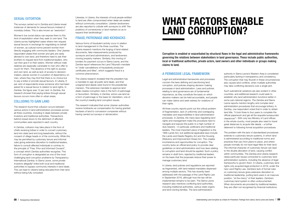## SEXUAL EXTORTION

The surveys carried out in Zambia and Liberia reveal instances of demands for sexual favours instead of monetary bribes. This is also known as "sextortion".

Women's low social status can expose them to this kind of exploitation when they seek to own land. The Liberia survey highlighted cases where men request sexual favours in exchange for negotiating on behalf of women, as cultural norms prevent women from directly engaging with community leaders. One Liberian respondent stated that women and girls are rarely allowed to own land, and therefore need to ask their brothers to request land from traditional leaders, who can then give it to their sisters. Women without male relatives are especially vulnerable to men who offer to vouch for them. This absence of the right to access and own land, as well as lack of access to decisionmakers, places women in a position of dependency on men, where they may find that there is no choice but to pay a bribe or provide sexual favours. In Liberia, 6 per cent of respondents knew someone who had been asked for a sexual favour in relation to land rights. In Zambia, the figure was 12 per cent. In Zambia, the research showed that paying bribes through sexual favours occurs more often in urban areas.

## COLLUDING TO GAIN LAND

The research found that collusion occurs between various actors in land administration processes across all three countries, including in deals between private investors and traditional authorities. Transactions behind closed doors to the detriment of affected communities were reported in each country.

In Zambia, collusion may take place in the form of chiefs receiving bribes in order to convert customary land into state land and long leaseholds, without the consent of village heads or of the community. While this may be permitted by customary tenure and informal rules giving extensive discretion to traditional leaders, failure to consult affected individuals is contrary to the principle of "Free, Prior and Informed Consent", a concept which Zambia authorities recognise. This form of corruption is designated as one of the most challenging land corruption problems by Transparency International Zambia. In Sierra Leone, some private investors allegedly<sup>2</sup> bribe both local and traditional authorities to bypass community interests in land deals. This can lead to citizens being relocated from their land without being fully consulted.

Likewise, in Liberia, the interests of local people entitled to land are often compromised when deals are sealed without community consultation. Liberian landowners are also reported to collude with surveyors to shift "the positions of cornerstones or land markers so as to expand their landholdings".

### FRAUD, PATRONAGE AND KICKBACKS

Various forms of fraudulent activity occur in relation to land management in the three countries. The Liberia research mentions the forging of land-related documents, fake measurements produced by surveyors and land administrators, and landowners moving property markers. Similarly, this moving of borders for payment occurs in Sierra Leone, and the Zambia report references the Land Tribunal's mandate to "order cancellations of fraudulently produced certificates and titles", which suggests fraud is a common phenomenon.

The Liberia research revealed that the president has a mandate to sign all public land deals, and that unsigned land deeds were found in the presidential mansion. This extensive mandate to approve land deals creates corruption risks in the form of patronage or favouritism. Similarly, in Zambia, actors use land as a form of patronage or the basis for clientelism, one of the country's leading land corruption issues.

The research indicated that some Liberian authorities receive kickbacks as compensation for having granted hectares of land to concession companies without having carried out surveys or demarcation.

Corruption is enabled or exacerbated by structural flaws in the legal and administrative frameworks governing the relations between stakeholders in land governance. These include public authorities, local or traditional authorities, private actors, land owners and other individuals or groups making claims to land.

## A PERMISSIVE LEGAL FRAMEWORK

Legal and administrative frameworks and processes concern the laws defining and sanctioning land corruption, and policies shaping decision-making processes in land administration. Laws and policies relating to land governance are of fundamental importance, as they constitute the basis on which decision-makers can be held accountable, and people can make claims and seek redress for violations of their rights.

All three country reports point out the critical problem of fragmentation, lack of uniformity and overlapping mandates and responsibilities in land administration processes. In Zambia, the many laws regulating land rights and management make the procedure hard to navigate and expose the public to a high number of duty bearers – in particular, politicians and traditional leaders. The most important piece of legislation is the 1995 Lands Act, but additional applicable laws include the Lands and Deeds Registry Act and the Housing (Statutory and Improvement Areas) Act. This creates incoherence and opportunities for corruption. The country lacks an official land policy to provide clear guidelines on land administration and how laws relating to corruption and land should be applied. Such a policy remains in draft form, rejected by traditional leaders on the basis that the proposals reduce their power to manage customary land.

In Liberia, land policies and regulations are reported as fragmented, with land-related mandates dispersed among multiple sectors. This has recently been addressed with the passage of the Land Rights Law in September 2018, although how the law will be implemented remains to be seen. The Sierra Leone research also mentions conflicting land authorities, including traditional authorities, various state organs and land-owning families. The land administration

authority in Sierra Leone's Western Area is considered particularly lacking in transparency and consistency. The corruption that may flourish in these circumstances also causes land conflicts, when multiple authorities may take conflicting decisions over a single plot.

Such subnational variations are also evident in other countries, and additional research could seek to establish why land administration functions better in some sub-national regions. The Zambia and Sierra Leone reports mention lengthy and complex land administration procedures that encourage bribery. In Zambia, one respondent noted that in order to obtain land title, "it took three to four years to complete the official paperwork and get all the requisite bureaucratic clearances"<sup>3</sup> . With only two Ministry of Land offices in the whole country, most people also need to travel great distances to acquire title deeds – a further deterrent to following formal acquisition procedures.

The problem with the lack of standardised procedures extends to customary tenure systems, in which land is administered according to traditional norms and practices that vary from place to place, and where people normally do not have legal titles for their land. The informal character of customary tenure can lead to the double allocation of land, causing conflict within communities. The Zambia and Liberia research raises particular issues connected to customary land administration systems, including the absence of legal frameworks to govern them. In Liberia, customary land rights only acquired legal protection in 2018, under the new Land Rights Law. Zambia's lack of formal rules on customary tenure gives extensive discretion to traditional leadership, putting land users in an insecure position, "at the mercy" of their leaders. Zambia's customary land system is often undocumented. When documents are provided by traditional leaders, they are often not recognised by financial institutions

## **WHAT FACTORS ENABLE LAND CORRUPTION?**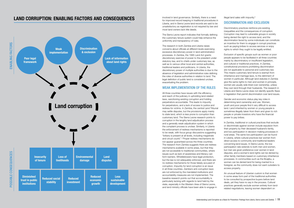involved in land governance. Similarly, there is a need for improved record keeping in traditional procedures in Liberia, and in Sierra Leone land records are said to be unsatisfactory as registration is not required by law and most land owners lack title deeds.

The Sierra Leone report indicates that formally defining the customary tenure system could help enhance the uniformity and transparency of rules.

The research in both Zambia and Liberia raises concerns about officials at different levels exercising excessive discretionary power in land administration processes. In Zambia, the 1995 Land Act grants discretionary exercise of power to the president under statutory law, and to chiefs under customary law, as well as to various other local and central authorities, traditional leaders and politicians. In Liberia, the discretionary power of multiple authorities is due to the absence of legislation and administrative rules defining the roles of diverse authorities in relation to land. The legal definition of public land is considered unclear, exacerbating the problem.

## WEAK IMPLEMENTATION OF THE RULES

All three countries have issues with the efficiency and reach of the judiciary in upholding land-related laws, sanctioning existing corruption and holding perpetrators accountable. This leads to impunity for perpetrators, and a lack of access to justice and redress for victims. In Zambia, the central Land Tribunal may settle disputes, but the provisions apply mainly to state land, which is less prone to corruption than customary land. The Sierra Leone research points to corruption in the lengthy land adjudication process and a generally weak adjudication system in which the complaint process is unclear. Similarly, in Liberia the enforcement of redress mechanisms is reported to be weak, with focus group discussions suggesting "bribery is present at all levels, including magistrate and circuit courts".<sup>4</sup> Proper redress mechanisms do not appear guaranteed across the three countries. The research from Zambia suggests there are redress mechanisms available in some areas, but that they are not accessible to traditional communities, where issues such as lack of awareness and literacy can form barriers. Whistleblowers have legal protection, but the law is not adequately enforced, and there are no redress mechanisms for those falsely accused of corruption. Impunity for land corruption is an issue in all three countries. Zambia's anti-corruption laws are not enforced by the mandated institutions and accountability measures are not implemented. The baseline research points out that accountability is particularly lacking with regards to land held by the state, especially in the Western Area of Sierra Leone, and land ministry officials have been able to engage in

illegal land sales with impunity.<sup>5</sup>

## DISCRIMINATION AND EXCLUSION

Discriminatory practices reinforce pre-existing inequalities and the consequences of corruption. Corruption may lead to vulnerable groups in society being denied the right to access land, and the discrimination faced by some individuals can constitute an incentive for them to engage in corrupt practices such as paying bribes to access services or enjoy rights to which they ought to be legally entitled.

Exclusion of specific groups such as women or poor people appears to be facilitated in all three countries mainly by discriminatory or insufficient legislation, and cultural or traditional practices. In Zambia, constitutional provisions prohibiting discrimination are not applicable to personal and customary law. This means customary land tenure is exempt from inheritance and marriage laws, to the detriment of women in particular. Although land statutes in Zambia give the same rights to men and women in principle, women are usually side-lined over ownership, unless they own land through their husbands. The research in Liberia and Sierra Leone does not identify specific flaws in legislation that permit discrimination over land issues.

Gender and economic status play key roles in determining land ownership and use. Women, youth and poor people find it very difficult to access land. Land inherited by women or young people is sometimes illegally taken from them and given to rich people or private investors who have the financial power to pay bribes.

In Zambia, traditional or cultural practices that exclude or discriminate against women include expulsion from their property by their deceased husband's family, and low participation in decision-making processes in rural areas. The same low participation can be found in Liberia, where cultural practices bar women from direct access to community and traditional leaders concerning land issues. In Sierra Leone, the low participation rate extends to both men and women, but men are given preference over women in land disputes, and a woman's land rights can be denied by other family members based on customary inheritance processes. In communities such as the Boajibu, a woman can be denied land for being married to a foreigner, as the community does not want outsiders to access property.

An unusual feature of Liberian custom is that women in some areas form part of the traditional authorities to be consulted by prospective buyers before land deals, yet they have no say in the process. Cultural practices generally exclude women entirely from landrelated negotiations, leaving women dependent on

## **LAND CORRUPTION: ENABLING FACTORS AND CONSEQUENCES**

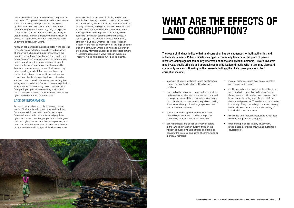men – usually husbands or relatives – to negotiate on their behalf. This places them in a vulnerable situation if men are unwilling to help. If women are forced by circumstance to ask men to whom they are not related to negotiate for them, they may be exposed to sexual extortion. In Zambia, this occurs mainly in urban settings, making it unclear whether difficulty in accessing negotiations with traditional leaders is an underlying cause, as in Liberia.

Although not mentioned in specific detail in the baseline research, sexual extortion was addressed as a form of bribery in the household questionnaires. As the baseline research confirms that women, due to their precarious position in society, are more prone to pay bribes, sexual extortion can also be considered to occur for the same reasons of social vulnerability. Zambia's baseline research shows that women pay bribes to a larger extent than men, explained by the fact that cultural obstacles hinder their access to land, and that land ownership has considerable socio-economic benefits for women, enhancing their willingness to pay bribes. Causes of sexual exploitation include women's vulnerability due to their exclusion from participating in land-related negotiations with traditional leaders, denial of their land and inheritance rights, and other forms of discrimination.

## LACK OF INFORMATION

Access to information is crucial to making people aware of their rights to land and how to claim them. For access to information to be effective, a legal framework must be in place acknowledging these rights. In all three countries, people lack knowledge of their land rights, the land administration process, and how to acquire this information. Liberia has a freedom of information law which in principle allows everyone

- insecurity of tenure, including forced displacement caused by double allocations of land or land grabbing
- harm to livelihoods of individuals and communities, particularly of small-scale producers, and rural and urban poor people. This can include loss of home or social status, and reinforced inequalities, making it harder for already vulnerable groups to access land and related services
- environmental damage caused by exploitation of land by private investors without regard to community interest or ecological concerns
- diminished legal and social legitimacy of actors in the land administration system, through the neglect of duties by public officials and failure to consider the interests and rights of communities or individual members

to access public information, including in relation to land. In Sierra Leone, however, access to information can be denied by the authorities for reasons of national security. However, the Right to Access Information Act of 2012 does not define national security concerns, creating a situation of legal unpredictability, where access to information can be arbitrarily blocked. In Zambia, people feel unable to access information, although it is unclear whether this is due to lack of respect for the right to information, or the legal absence of such a right. Even where legal rights to information are granted, information needs to be expressed simply, in local languages and in ways that can overcome illiteracy if it is to help people fulfil their land rights.

- investor disputes, forced evictions of investors, and compensation issues
- conflicts resulting from land disputes. Liberia has seen deaths in connection to land conflict. In Sierra Leone, conflicts arise over contested land boundaries – including family lands, chiefdoms, districts and provinces. These impact communities in a variety of ways, including in terms of housing, livelihoods, security and the social standing of individuals in the community
- diminished trust in public institutions, which itself may encourage further corruption
- undermining of social stability, investment, broad-based economic growth and sustainable development.

The research findings indicate that land corruption has consequences for both authorities and individual claimants. Public officials may bypass community leaders for the profit of private investors, acting against community interests and those of individual members. Private investors may bypass public officials and approach community leaders directly, who in turn may disregard community concerns. Drawing on the research findings, the likely consequences of land corruption include:



## **WHAT ARE THE EFFECTS OF LAND CORRUPTION?**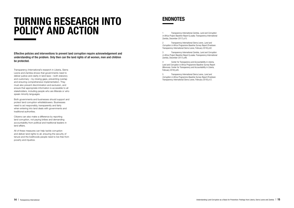Effective policies and interventions to prevent land corruption require acknowledgement and understanding of the problem. Only then can the land rights of all women, men and children be protected.

Transparency International's research in Liberia, Sierra Leone and Zambia shows that governments need to deliver justice and clarity in land laws – both statutory and customary – by closing gaps, preventing overlap and ensuring comprehensive implementation. They must also prevent discrimination and exclusion, and ensure that appropriate information is accessible to all stakeholders, including people who are illiterate or who speak minority languages.

## **TURNING RESEARCH INTO POLICY AND ACTION**

Both governments and businesses should support and protect land corruption whistleblowers. Businesses need to act responsibly, transparently and fairly when entering into land deals with governments and traditional authorities.

Citizens can also make a difference by reporting land corruption, not paying bribes and demanding accountability from political and traditional leaders in land affairs.

All of these measures can help tackle corruption and deliver land rights to all, ensuring the security of tenure and the livelihoods people need to live free from poverty and injustice.

in Africa Project Baseline Report (Lusaka: Transparency International Zambia, December 2017) p15.

2 Transparency International Sierra Leone, Land and Corruption in Africa Programme Baseline Survey Report (Freetown: Transparency International Sierra Leone, February 2018) p32.

3 Transparency International Zambia, Land and Corruption in Africa Project Baseline Report (Lusaka: Transparency International Zambia, December 2017) p46.

4 Center for Transparency and Accountability in Liberia, Land and Corruption in Africa Programme Baseline Survey Report (Monrovia: Center for Transparency and Accountability in Liberia, February 2018) p45.

5 Transparency International Sierra Leone, Land and Corruption in Africa Programme Baseline Survey Report (Freetown: Transparency International Sierra Leone, February 2018) p12.

## **ENDNOTES**

**14** Transparency International Understanding Land Corruption as a Basis for Prevention: Findings from Liberia, Sierra Leone and Zambia **15**